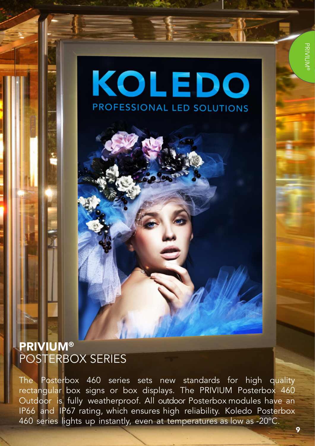# **KOLEDO** PROFESSIONAL LED SOLUTIONS

## PRIVIUM® POSTERBOX SERIES

The Posterbox 460 series sets new standards for high quality rectangular box signs or box displays. The PRIVIUM Posterbox 460 Outdoor is fully weatherproof. All outdoor Posterbox modules have an IP66 and IP67 rating, which ensures high reliability. Koledo Posterbox 460 series lights up instantly, even at temperatures as low as -20ºC.

9